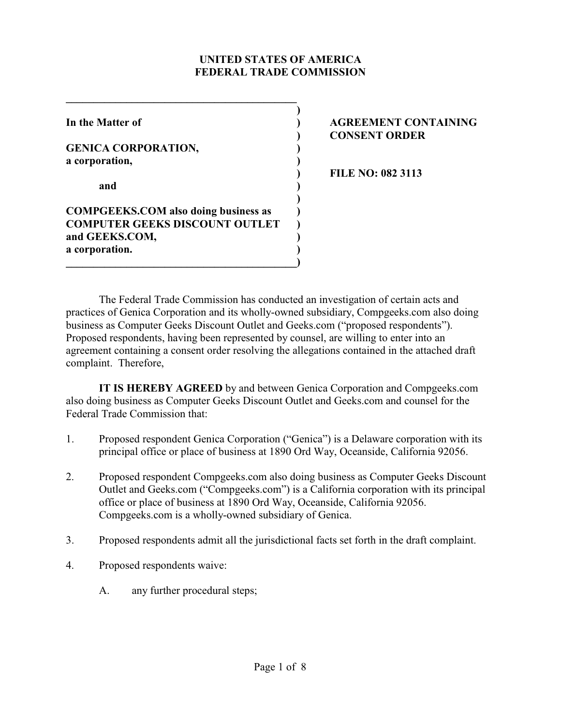### **UNITED STATES OF AMERICA FEDERAL TRADE COMMISSION**

**)**

**)**

**GENICA CORPORATION, ) a corporation, )**

**and )**

**COMPGEEKS.COM also doing business as ) COMPUTER GEEKS DISCOUNT OUTLET ) and GEEKS.COM, ) a corporation. )**

**\_\_\_\_\_\_\_\_\_\_\_\_\_\_\_\_\_\_\_\_\_\_\_\_\_\_\_\_\_\_\_\_\_\_\_\_\_\_\_\_\_\_)**

**\_\_\_\_\_\_\_\_\_\_\_\_\_\_\_\_\_\_\_\_\_\_\_\_\_\_\_\_\_\_\_\_\_\_\_\_\_\_\_\_\_\_**

# **In the Matter of ) AGREEMENT CONTAINING ) CONSENT ORDER**

**) FILE NO: 082 3113**

The Federal Trade Commission has conducted an investigation of certain acts and practices of Genica Corporation and its wholly-owned subsidiary, Compgeeks.com also doing business as Computer Geeks Discount Outlet and Geeks.com ("proposed respondents"). Proposed respondents, having been represented by counsel, are willing to enter into an agreement containing a consent order resolving the allegations contained in the attached draft complaint. Therefore,

**IT IS HEREBY AGREED** by and between Genica Corporation and Compgeeks.com also doing business as Computer Geeks Discount Outlet and Geeks.com and counsel for the Federal Trade Commission that:

- 1. Proposed respondent Genica Corporation ("Genica") is a Delaware corporation with its principal office or place of business at 1890 Ord Way, Oceanside, California 92056.
- 2. Proposed respondent Compgeeks.com also doing business as Computer Geeks Discount Outlet and Geeks.com ("Compgeeks.com") is a California corporation with its principal office or place of business at 1890 Ord Way, Oceanside, California 92056. Compgeeks.com is a wholly-owned subsidiary of Genica.
- 3. Proposed respondents admit all the jurisdictional facts set forth in the draft complaint.
- 4. Proposed respondents waive:
	- A. any further procedural steps;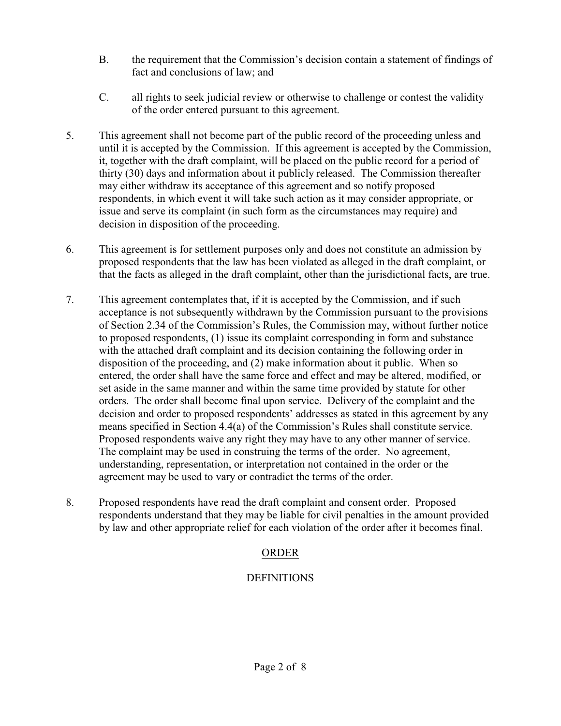- B. the requirement that the Commission's decision contain a statement of findings of fact and conclusions of law; and
- C. all rights to seek judicial review or otherwise to challenge or contest the validity of the order entered pursuant to this agreement.
- 5. This agreement shall not become part of the public record of the proceeding unless and until it is accepted by the Commission. If this agreement is accepted by the Commission, it, together with the draft complaint, will be placed on the public record for a period of thirty (30) days and information about it publicly released. The Commission thereafter may either withdraw its acceptance of this agreement and so notify proposed respondents, in which event it will take such action as it may consider appropriate, or issue and serve its complaint (in such form as the circumstances may require) and decision in disposition of the proceeding.
- 6. This agreement is for settlement purposes only and does not constitute an admission by proposed respondents that the law has been violated as alleged in the draft complaint, or that the facts as alleged in the draft complaint, other than the jurisdictional facts, are true.
- 7. This agreement contemplates that, if it is accepted by the Commission, and if such acceptance is not subsequently withdrawn by the Commission pursuant to the provisions of Section 2.34 of the Commission's Rules, the Commission may, without further notice to proposed respondents, (1) issue its complaint corresponding in form and substance with the attached draft complaint and its decision containing the following order in disposition of the proceeding, and (2) make information about it public. When so entered, the order shall have the same force and effect and may be altered, modified, or set aside in the same manner and within the same time provided by statute for other orders. The order shall become final upon service. Delivery of the complaint and the decision and order to proposed respondents' addresses as stated in this agreement by any means specified in Section 4.4(a) of the Commission's Rules shall constitute service. Proposed respondents waive any right they may have to any other manner of service. The complaint may be used in construing the terms of the order. No agreement, understanding, representation, or interpretation not contained in the order or the agreement may be used to vary or contradict the terms of the order.
- 8. Proposed respondents have read the draft complaint and consent order. Proposed respondents understand that they may be liable for civil penalties in the amount provided by law and other appropriate relief for each violation of the order after it becomes final.

# ORDER

## **DEFINITIONS**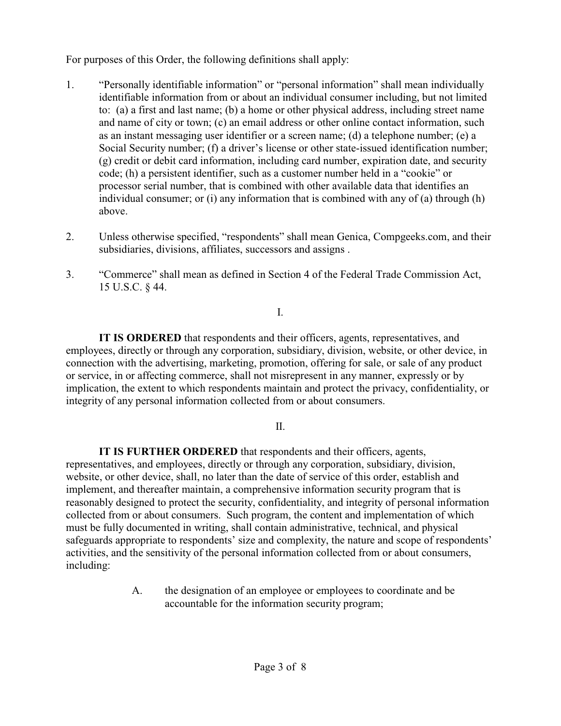For purposes of this Order, the following definitions shall apply:

- 1. "Personally identifiable information" or "personal information" shall mean individually identifiable information from or about an individual consumer including, but not limited to: (a) a first and last name; (b) a home or other physical address, including street name and name of city or town; (c) an email address or other online contact information, such as an instant messaging user identifier or a screen name; (d) a telephone number; (e) a Social Security number; (f) a driver's license or other state-issued identification number; (g) credit or debit card information, including card number, expiration date, and security code; (h) a persistent identifier, such as a customer number held in a "cookie" or processor serial number, that is combined with other available data that identifies an individual consumer; or (i) any information that is combined with any of (a) through (h) above.
- 2. Unless otherwise specified, "respondents" shall mean Genica, Compgeeks.com, and their subsidiaries, divisions, affiliates, successors and assigns .
- 3. "Commerce" shall mean as defined in Section 4 of the Federal Trade Commission Act, 15 U.S.C. § 44.

I.

**IT IS ORDERED** that respondents and their officers, agents, representatives, and employees, directly or through any corporation, subsidiary, division, website, or other device, in connection with the advertising, marketing, promotion, offering for sale, or sale of any product or service, in or affecting commerce, shall not misrepresent in any manner, expressly or by implication, the extent to which respondents maintain and protect the privacy, confidentiality, or integrity of any personal information collected from or about consumers.

 $II$ .

**IT IS FURTHER ORDERED** that respondents and their officers, agents, representatives, and employees, directly or through any corporation, subsidiary, division, website, or other device, shall, no later than the date of service of this order, establish and implement, and thereafter maintain, a comprehensive information security program that is reasonably designed to protect the security, confidentiality, and integrity of personal information collected from or about consumers. Such program, the content and implementation of which must be fully documented in writing, shall contain administrative, technical, and physical safeguards appropriate to respondents' size and complexity, the nature and scope of respondents' activities, and the sensitivity of the personal information collected from or about consumers, including:

> A. the designation of an employee or employees to coordinate and be accountable for the information security program;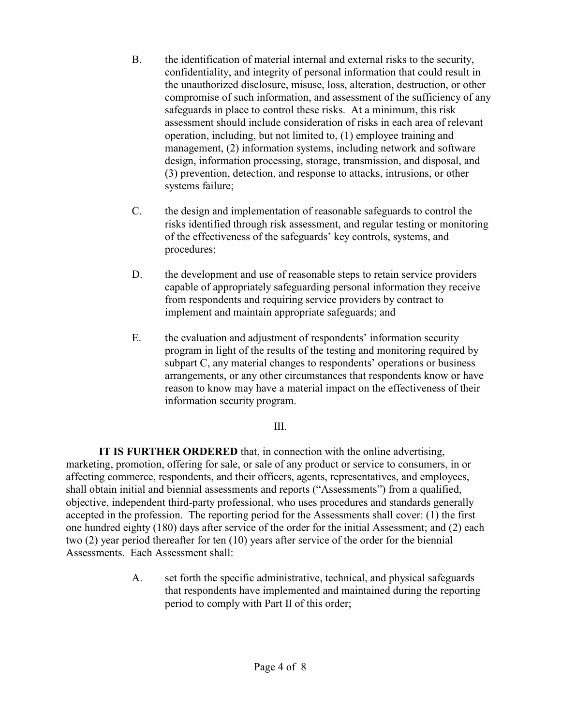- B. the identification of material internal and external risks to the security, confidentiality, and integrity of personal information that could result in the unauthorized disclosure, misuse, loss, alteration, destruction, or other compromise of such information, and assessment of the sufficiency of any safeguards in place to control these risks. At a minimum, this risk assessment should include consideration of risks in each area of relevant operation, including, but not limited to, (1) employee training and management, (2) information systems, including network and software design, information processing, storage, transmission, and disposal, and (3) prevention, detection, and response to attacks, intrusions, or other systems failure;
- C. the design and implementation of reasonable safeguards to control the risks identified through risk assessment, and regular testing or monitoring of the effectiveness of the safeguards' key controls, systems, and procedures;
- D. the development and use of reasonable steps to retain service providers capable of appropriately safeguarding personal information they receive from respondents and requiring service providers by contract to implement and maintain appropriate safeguards; and
- E. the evaluation and adjustment of respondents' information security program in light of the results of the testing and monitoring required by subpart C, any material changes to respondents' operations or business arrangements, or any other circumstances that respondents know or have reason to know may have a material impact on the effectiveness of their information security program.

## III.

**IT IS FURTHER ORDERED** that, in connection with the online advertising, marketing, promotion, offering for sale, or sale of any product or service to consumers, in or affecting commerce, respondents, and their officers, agents, representatives, and employees, shall obtain initial and biennial assessments and reports ("Assessments") from a qualified, objective, independent third-party professional, who uses procedures and standards generally accepted in the profession. The reporting period for the Assessments shall cover: (1) the first one hundred eighty (180) days after service of the order for the initial Assessment; and (2) each two (2) year period thereafter for ten (10) years after service of the order for the biennial Assessments. Each Assessment shall:

> A. set forth the specific administrative, technical, and physical safeguards that respondents have implemented and maintained during the reporting period to comply with Part II of this order;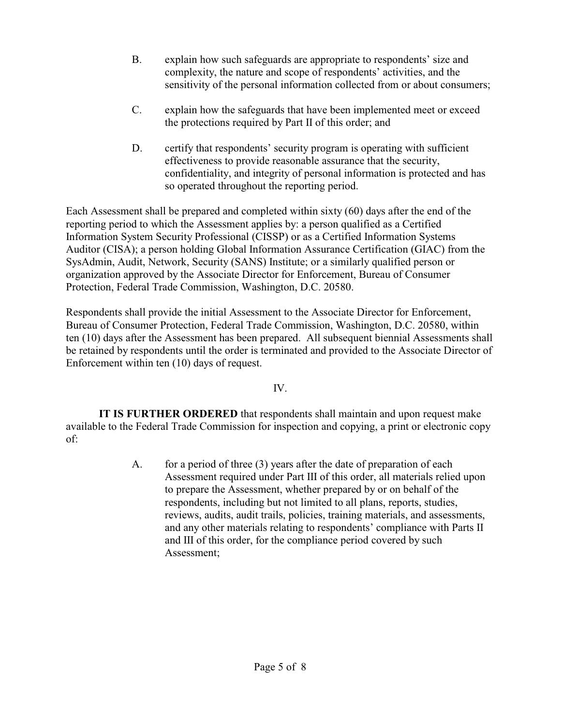- B. explain how such safeguards are appropriate to respondents' size and complexity, the nature and scope of respondents' activities, and the sensitivity of the personal information collected from or about consumers;
- C. explain how the safeguards that have been implemented meet or exceed the protections required by Part II of this order; and
- D. certify that respondents' security program is operating with sufficient effectiveness to provide reasonable assurance that the security, confidentiality, and integrity of personal information is protected and has so operated throughout the reporting period.

Each Assessment shall be prepared and completed within sixty (60) days after the end of the reporting period to which the Assessment applies by: a person qualified as a Certified Information System Security Professional (CISSP) or as a Certified Information Systems Auditor (CISA); a person holding Global Information Assurance Certification (GIAC) from the SysAdmin, Audit, Network, Security (SANS) Institute; or a similarly qualified person or organization approved by the Associate Director for Enforcement, Bureau of Consumer Protection, Federal Trade Commission, Washington, D.C. 20580.

Respondents shall provide the initial Assessment to the Associate Director for Enforcement, Bureau of Consumer Protection, Federal Trade Commission, Washington, D.C. 20580, within ten (10) days after the Assessment has been prepared. All subsequent biennial Assessments shall be retained by respondents until the order is terminated and provided to the Associate Director of Enforcement within ten (10) days of request.

## IV.

**IT IS FURTHER ORDERED** that respondents shall maintain and upon request make available to the Federal Trade Commission for inspection and copying, a print or electronic copy of:

> A. for a period of three (3) years after the date of preparation of each Assessment required under Part III of this order, all materials relied upon to prepare the Assessment, whether prepared by or on behalf of the respondents, including but not limited to all plans, reports, studies, reviews, audits, audit trails, policies, training materials, and assessments, and any other materials relating to respondents' compliance with Parts II and III of this order, for the compliance period covered by such Assessment;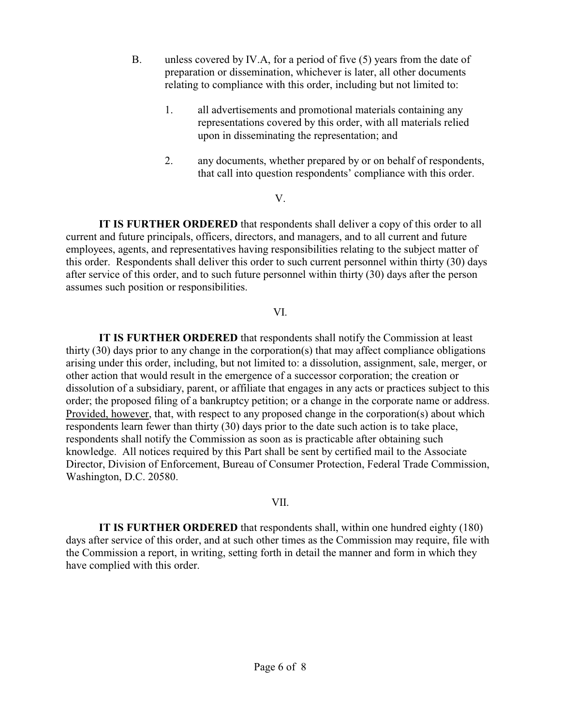- B. unless covered by IV.A, for a period of five (5) years from the date of preparation or dissemination, whichever is later, all other documents relating to compliance with this order, including but not limited to:
	- 1. all advertisements and promotional materials containing any representations covered by this order, with all materials relied upon in disseminating the representation; and
	- 2. any documents, whether prepared by or on behalf of respondents, that call into question respondents' compliance with this order.

#### V.

**IT IS FURTHER ORDERED** that respondents shall deliver a copy of this order to all current and future principals, officers, directors, and managers, and to all current and future employees, agents, and representatives having responsibilities relating to the subject matter of this order. Respondents shall deliver this order to such current personnel within thirty (30) days after service of this order, and to such future personnel within thirty (30) days after the person assumes such position or responsibilities.

### VI.

**IT IS FURTHER ORDERED** that respondents shall notify the Commission at least thirty (30) days prior to any change in the corporation(s) that may affect compliance obligations arising under this order, including, but not limited to: a dissolution, assignment, sale, merger, or other action that would result in the emergence of a successor corporation; the creation or dissolution of a subsidiary, parent, or affiliate that engages in any acts or practices subject to this order; the proposed filing of a bankruptcy petition; or a change in the corporate name or address. Provided, however, that, with respect to any proposed change in the corporation(s) about which respondents learn fewer than thirty (30) days prior to the date such action is to take place, respondents shall notify the Commission as soon as is practicable after obtaining such knowledge. All notices required by this Part shall be sent by certified mail to the Associate Director, Division of Enforcement, Bureau of Consumer Protection, Federal Trade Commission, Washington, D.C. 20580.

#### VII.

**IT IS FURTHER ORDERED** that respondents shall, within one hundred eighty (180) days after service of this order, and at such other times as the Commission may require, file with the Commission a report, in writing, setting forth in detail the manner and form in which they have complied with this order.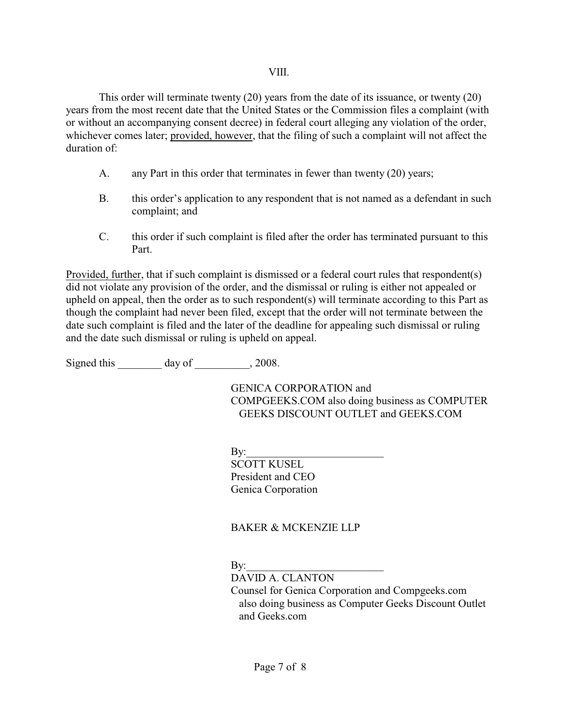This order will terminate twenty (20) years from the date of its issuance, or twenty (20) years from the most recent date that the United States or the Commission files a complaint (with or without an accompanying consent decree) in federal court alleging any violation of the order, whichever comes later; provided, however, that the filing of such a complaint will not affect the duration of:

- A. any Part in this order that terminates in fewer than twenty (20) years;
- B. this order's application to any respondent that is not named as a defendant in such complaint; and
- C. this order if such complaint is filed after the order has terminated pursuant to this Part.

Provided, further, that if such complaint is dismissed or a federal court rules that respondent(s) did not violate any provision of the order, and the dismissal or ruling is either not appealed or upheld on appeal, then the order as to such respondent(s) will terminate according to this Part as though the complaint had never been filed, except that the order will not terminate between the date such complaint is filed and the later of the deadline for appealing such dismissal or ruling and the date such dismissal or ruling is upheld on appeal.

Signed this day of  $\qquad \qquad$  , 2008.

GENICA CORPORATION and COMPGEEKS.COM also doing business as COMPUTER GEEKS DISCOUNT OUTLET and GEEKS.COM

 $\mathbf{By:}$ 

SCOTT KUSEL President and CEO Genica Corporation

# BAKER & MCKENZIE LLP

 $Bv:$ 

DAVID A. CLANTON

Counsel for Genica Corporation and Compgeeks.com also doing business as Computer Geeks Discount Outlet and Geeks.com